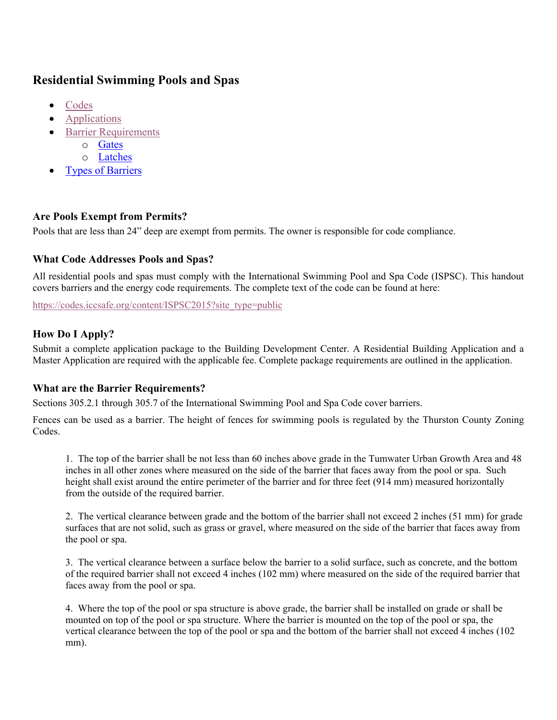# **Residential Swimming Pools and Spas**

- Codes
- Applications
- **Barrier Requirements** 
	- o [Gates](#page-1-0)
	- o [Latches](#page-1-0)
- [Types of Barriers](#page-1-0)

# **Are Pools Exempt from Permits?**

Pools that are less than 24" deep are exempt from permits. The owner is responsible for code compliance.

## **What Code Addresses Pools and Spas?**

All residential pools and spas must comply with the International Swimming Pool and Spa Code (ISPSC). This handout covers barriers and the energy code requirements. The complete text of the code can be found at here:

https://codes.iccsafe.org/content/ISPSC2015?site\_type=public

# **How Do I Apply?**

Submit a complete application package to the Building Development Center. A Residential Building Application and a Master Application are required with the applicable fee. Complete package requirements are outlined in the application.

## **What are the Barrier Requirements?**

Sections 305.2.1 through 305.7 of the International Swimming Pool and Spa Code cover barriers.

Fences can be used as a barrier. The height of fences for swimming pools is regulated by the Thurston County Zoning Codes.

1. The top of the barrier shall be not less than 60 inches above grade in the Tumwater Urban Growth Area and 48 inches in all other zones where measured on the side of the barrier that faces away from the pool or spa. Such height shall exist around the entire perimeter of the barrier and for three feet (914 mm) measured horizontally from the outside of the required barrier.

2. The vertical clearance between grade and the bottom of the barrier shall not exceed 2 inches (51 mm) for grade surfaces that are not solid, such as grass or gravel, where measured on the side of the barrier that faces away from the pool or spa.

3. The vertical clearance between a surface below the barrier to a solid surface, such as concrete, and the bottom of the required barrier shall not exceed 4 inches (102 mm) where measured on the side of the required barrier that faces away from the pool or spa.

4. Where the top of the pool or spa structure is above grade, the barrier shall be installed on grade or shall be mounted on top of the pool or spa structure. Where the barrier is mounted on the top of the pool or spa, the vertical clearance between the top of the pool or spa and the bottom of the barrier shall not exceed 4 inches (102 mm).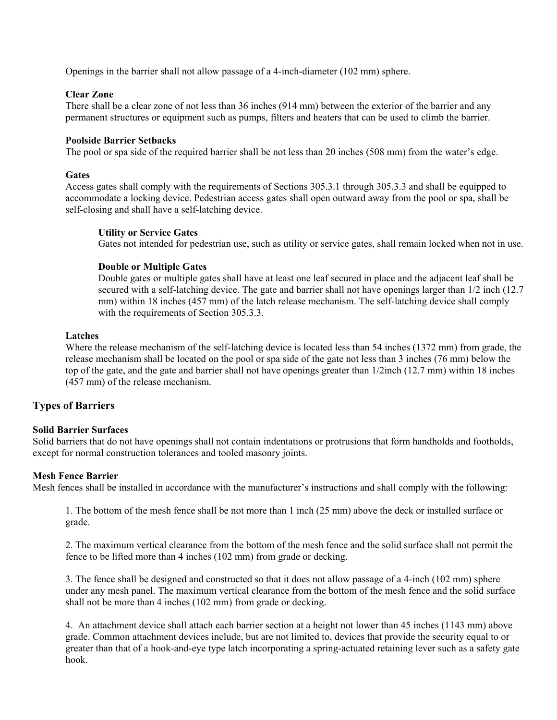<span id="page-1-0"></span>Openings in the barrier shall not allow passage of a 4-inch-diameter (102 mm) sphere.

### **Clear Zone**

There shall be a clear zone of not less than 36 inches (914 mm) between the exterior of the barrier and any permanent structures or equipment such as pumps, filters and heaters that can be used to climb the barrier.

### **Poolside Barrier Setbacks**

The pool or spa side of the required barrier shall be not less than 20 inches (508 mm) from the water's edge.

### **Gates**

Access gates shall comply with the requirements of Sections 305.3.1 through 305.3.3 and shall be equipped to accommodate a locking device. Pedestrian access gates shall open outward away from the pool or spa, shall be self-closing and shall have a self-latching device.

### **Utility or Service Gates**

Gates not intended for pedestrian use, such as utility or service gates, shall remain locked when not in use.

### **Double or Multiple Gates**

Double gates or multiple gates shall have at least one leaf secured in place and the adjacent leaf shall be secured with a self-latching device. The gate and barrier shall not have openings larger than 1/2 inch (12.7 mm) within 18 inches (457 mm) of the latch release mechanism. The self-latching device shall comply with the requirements of Section 305.3.3.

### **Latches**

Where the release mechanism of the self-latching device is located less than 54 inches (1372 mm) from grade, the release mechanism shall be located on the pool or spa side of the gate not less than 3 inches (76 mm) below the top of the gate, and the gate and barrier shall not have openings greater than 1/2inch (12.7 mm) within 18 inches (457 mm) of the release mechanism.

## **Types of Barriers**

## **Solid Barrier Surfaces**

Solid barriers that do not have openings shall not contain indentations or protrusions that form handholds and footholds, except for normal construction tolerances and tooled masonry joints.

## **Mesh Fence Barrier**

Mesh fences shall be installed in accordance with the manufacturer's instructions and shall comply with the following:

1. The bottom of the mesh fence shall be not more than 1 inch (25 mm) above the deck or installed surface or grade.

2. The maximum vertical clearance from the bottom of the mesh fence and the solid surface shall not permit the fence to be lifted more than 4 inches (102 mm) from grade or decking.

3. The fence shall be designed and constructed so that it does not allow passage of a 4-inch (102 mm) sphere under any mesh panel. The maximum vertical clearance from the bottom of the mesh fence and the solid surface shall not be more than 4 inches (102 mm) from grade or decking.

4. An attachment device shall attach each barrier section at a height not lower than 45 inches (1143 mm) above grade. Common attachment devices include, but are not limited to, devices that provide the security equal to or greater than that of a hook-and-eye type latch incorporating a spring-actuated retaining lever such as a safety gate hook.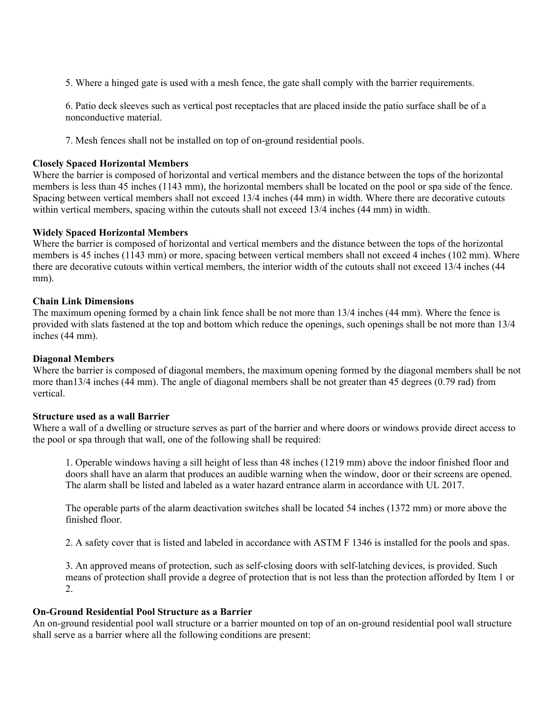5. Where a hinged gate is used with a mesh fence, the gate shall comply with the barrier requirements.

6. Patio deck sleeves such as vertical post receptacles that are placed inside the patio surface shall be of a nonconductive material.

7. Mesh fences shall not be installed on top of on-ground residential pools.

### **Closely Spaced Horizontal Members**

Where the barrier is composed of horizontal and vertical members and the distance between the tops of the horizontal members is less than 45 inches (1143 mm), the horizontal members shall be located on the pool or spa side of the fence. Spacing between vertical members shall not exceed 13/4 inches (44 mm) in width. Where there are decorative cutouts within vertical members, spacing within the cutouts shall not exceed 13/4 inches (44 mm) in width.

### **Widely Spaced Horizontal Members**

Where the barrier is composed of horizontal and vertical members and the distance between the tops of the horizontal members is 45 inches (1143 mm) or more, spacing between vertical members shall not exceed 4 inches (102 mm). Where there are decorative cutouts within vertical members, the interior width of the cutouts shall not exceed 13/4 inches (44 mm).

#### **Chain Link Dimensions**

The maximum opening formed by a chain link fence shall be not more than 13/4 inches (44 mm). Where the fence is provided with slats fastened at the top and bottom which reduce the openings, such openings shall be not more than 13/4 inches (44 mm).

### **Diagonal Members**

Where the barrier is composed of diagonal members, the maximum opening formed by the diagonal members shall be not more than13/4 inches (44 mm). The angle of diagonal members shall be not greater than 45 degrees (0.79 rad) from vertical.

#### **Structure used as a wall Barrier**

Where a wall of a dwelling or structure serves as part of the barrier and where doors or windows provide direct access to the pool or spa through that wall, one of the following shall be required:

1. Operable windows having a sill height of less than 48 inches (1219 mm) above the indoor finished floor and doors shall have an alarm that produces an audible warning when the window, door or their screens are opened. The alarm shall be listed and labeled as a water hazard entrance alarm in accordance with UL 2017.

The operable parts of the alarm deactivation switches shall be located 54 inches (1372 mm) or more above the finished floor.

2. A safety cover that is listed and labeled in accordance with ASTM F 1346 is installed for the pools and spas.

3. An approved means of protection, such as self-closing doors with self-latching devices, is provided. Such means of protection shall provide a degree of protection that is not less than the protection afforded by Item 1 or 2.

#### **On-Ground Residential Pool Structure as a Barrier**

An on-ground residential pool wall structure or a barrier mounted on top of an on-ground residential pool wall structure shall serve as a barrier where all the following conditions are present: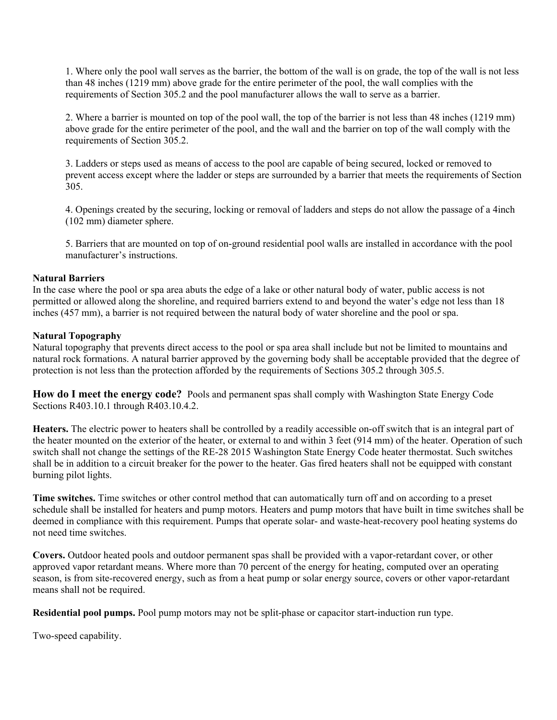1. Where only the pool wall serves as the barrier, the bottom of the wall is on grade, the top of the wall is not less than 48 inches (1219 mm) above grade for the entire perimeter of the pool, the wall complies with the requirements of Section 305.2 and the pool manufacturer allows the wall to serve as a barrier.

2. Where a barrier is mounted on top of the pool wall, the top of the barrier is not less than 48 inches (1219 mm) above grade for the entire perimeter of the pool, and the wall and the barrier on top of the wall comply with the requirements of Section 305.2.

3. Ladders or steps used as means of access to the pool are capable of being secured, locked or removed to prevent access except where the ladder or steps are surrounded by a barrier that meets the requirements of Section 305.

4. Openings created by the securing, locking or removal of ladders and steps do not allow the passage of a 4inch (102 mm) diameter sphere.

5. Barriers that are mounted on top of on-ground residential pool walls are installed in accordance with the pool manufacturer's instructions.

## **Natural Barriers**

In the case where the pool or spa area abuts the edge of a lake or other natural body of water, public access is not permitted or allowed along the shoreline, and required barriers extend to and beyond the water's edge not less than 18 inches (457 mm), a barrier is not required between the natural body of water shoreline and the pool or spa.

## **Natural Topography**

Natural topography that prevents direct access to the pool or spa area shall include but not be limited to mountains and natural rock formations. A natural barrier approved by the governing body shall be acceptable provided that the degree of protection is not less than the protection afforded by the requirements of Sections 305.2 through 305.5.

**How do I meet the energy code?** Pools and permanent spas shall comply with Washington State Energy Code Sections R403.10.1 through R403.10.4.2.

**Heaters.** The electric power to heaters shall be controlled by a readily accessible on-off switch that is an integral part of the heater mounted on the exterior of the heater, or external to and within 3 feet (914 mm) of the heater. Operation of such switch shall not change the settings of the RE-28 2015 Washington State Energy Code heater thermostat. Such switches shall be in addition to a circuit breaker for the power to the heater. Gas fired heaters shall not be equipped with constant burning pilot lights.

**Time switches.** Time switches or other control method that can automatically turn off and on according to a preset schedule shall be installed for heaters and pump motors. Heaters and pump motors that have built in time switches shall be deemed in compliance with this requirement. Pumps that operate solar- and waste-heat-recovery pool heating systems do not need time switches.

**Covers.** Outdoor heated pools and outdoor permanent spas shall be provided with a vapor-retardant cover, or other approved vapor retardant means. Where more than 70 percent of the energy for heating, computed over an operating season, is from site-recovered energy, such as from a heat pump or solar energy source, covers or other vapor-retardant means shall not be required.

**Residential pool pumps.** Pool pump motors may not be split-phase or capacitor start-induction run type.

Two-speed capability.